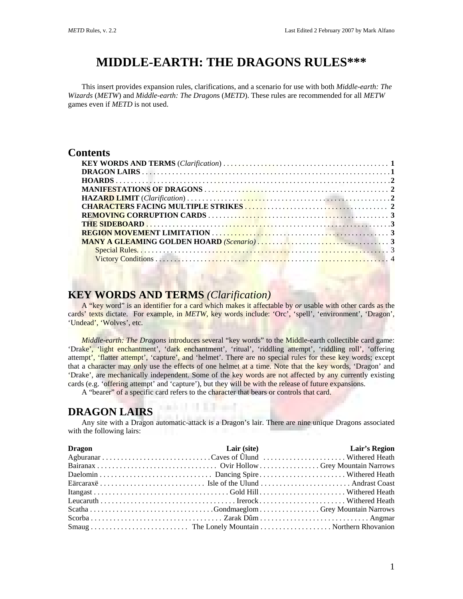# **MIDDLE-EARTH: THE DRAGONS RULES\*\*\***

This insert provides expansion rules, clarifications, and a scenario for use with both *Middle-earth: The Wizards* (*METW*) and *Middle-earth: The Dragon*s (*METD*). These rules are recommended for all *METW* games even if *METD* is not used.

#### **Contents**

## **KEY WORDS AND TERMS** *(Clarification)*

A "key word" is an identifier for a card which makes it affectable by *or* usable with other cards as the cards' texts dictate. For example, in *METW*, key words include: 'Orc', 'spell', 'environment', 'Dragon', 'Undead', 'Wolves', etc.

*Middle-earth: The Dragons* introduces several "key words" to the Middle-earth collectible card game: 'Drake', 'light enchantment', 'dark enchantment', 'ritual', 'riddling attempt', 'riddling roll', 'offering attempt', 'flatter attempt', 'capture', and 'helmet'. There are no special rules for these key words; except that a character may only use the effects of one helmet at a time. Note that the key words, 'Dragon' and 'Drake', are mechanically independent. Some of the key words are not affected by any currently existing cards (e.g. 'offering attempt' and 'capture'), but they will be with the release of future expansions.

A "bearer" of a specific card refers to the character that bears or controls that card.

83 3 3 3 3 4 4 5

#### **DRAGON LAIRS**

Any site with a Dragon automatic-attack is a Dragon's lair. There are nine unique Dragons associated with the following lairs:

| <b>Dragon</b> | Lair (site) | <b>Example 12</b> Lair's Region |
|---------------|-------------|---------------------------------|
|               |             |                                 |
|               |             |                                 |
|               |             |                                 |
|               |             |                                 |
|               |             |                                 |
|               |             |                                 |
|               |             |                                 |
|               |             |                                 |
|               |             |                                 |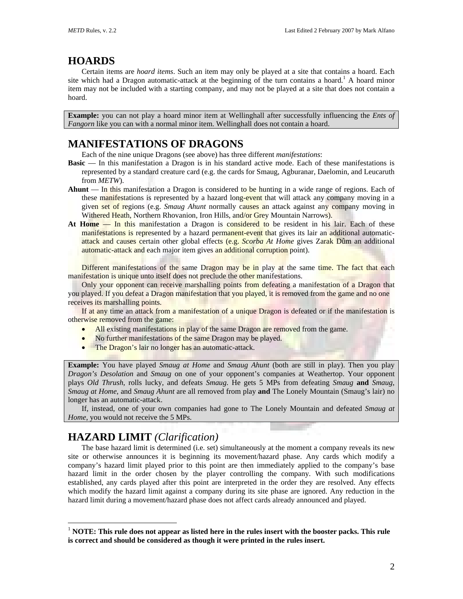## **HOARDS**

Certain items are *hoard items*. Such an item may only be played at a site that contains a hoard. Each site which had a Dragon automatic-attack at the beginning of the turn contains a hoard.<sup>[1](#page-1-0)</sup> A hoard minor item may not be included with a starting company, and may not be played at a site that does not contain a hoard.

**Example:** you can not play a hoard minor item at Wellinghall after successfully influencing the *Ents of Fangorn* like you can with a normal minor item. Wellinghall does not contain a hoard.

### **MANIFESTATIONS OF DRAGONS**

Each of the nine unique Dragons (see above) has three different *manifestations*:

- **Basic** In this manifestation a Dragon is in his standard active mode. Each of these manifestations is represented by a standard creature card (e.g. the cards for Smaug, Agburanar, Daelomin, and Leucaruth from *METW*).
- **Ahunt**  In this manifestation a Dragon is considered to be hunting in a wide range of regions. Each of these manifestations is represented by a hazard long-event that will attack any company moving in a given set of regions (e.g. *Smaug Ahunt* normally causes an attack against any company moving in Withered Heath, Northern Rhovanion, Iron Hills, and/or Grey Mountain Narrows).
- **At Home**  In this manifestation a Dragon is considered to be resident in his lair. Each of these manifestations is represented by a hazard permanent-event that gives its lair an additional automaticattack and causes certain other global effects (e.g. *Scorba At Home* gives Zarak Dûm an additional automatic-attack and each major item gives an additional corruption point).

Different manifestations of the same Dragon may be in play at the same time. The fact that each manifestation is unique unto itself does not preclude the other manifestations.

Only your opponent can receive marshalling points from defeating a manifestation of a Dragon that you played. If you defeat a Dragon manifestation that you played, it is removed from the game and no one receives its marshalling points.

If at any time an attack from a manifestation of a unique Dragon is defeated or if the manifestation is otherwise removed from the game:

- All existing manifestations in play of the same Dragon are removed from the game.
- No further manifestations of the same Dragon may be played.
- The Dragon's lair no longer has an automatic-attack.

**Example:** You have played *Smaug at Home* and *Smaug Ahunt* (both are still in play). Then you play *Dragon's Desolation* and *Smaug* on one of your opponent's companies at Weathertop. Your opponent plays *Old Thrush*, rolls lucky, and defeats *Smaug*. He gets 5 MPs from defeating *Smaug* **and** *Smaug*, *Smaug at Home*, and *Smaug Ahunt* are all removed from play **and** The Lonely Mountain (Smaug's lair) no longer has an automatic-attack.

If, instead, one of your own companies had gone to The Lonely Mountain and defeated *Smaug at Home*, you would not receive the 5 MPs.

### **HAZARD LIMIT** *(Clarification)*

 $\overline{a}$ 

The base hazard limit is determined (i.e. set) simultaneously at the moment a company reveals its new site or otherwise announces it is beginning its movement/hazard phase. Any cards which modify a company's hazard limit played prior to this point are then immediately applied to the company's base hazard limit in the order chosen by the player controlling the company. With such modifications established, any cards played after this point are interpreted in the order they are resolved. Any effects which modify the hazard limit against a company during its site phase are ignored. Any reduction in the hazard limit during a movement/hazard phase does not affect cards already announced and played.

<span id="page-1-0"></span><sup>1</sup> **NOTE: This rule does not appear as listed here in the rules insert with the booster packs. This rule is correct and should be considered as though it were printed in the rules insert.**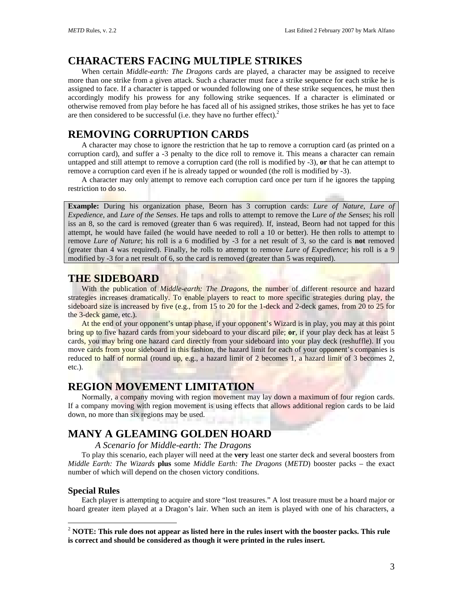## **CHARACTERS FACING MULTIPLE STRIKES**

When certain *Middle-earth: The Dragons* cards are played, a character may be assigned to receive more than one strike from a given attack. Such a character must face a strike sequence for each strike he is assigned to face. If a character is tapped or wounded following one of these strike sequences, he must then accordingly modify his prowess for any following strike sequences. If a character is eliminated or otherwise removed from play before he has faced all of his assigned strikes, those strikes he has yet to face are then considered to be successful (i.e. they have no further effect).<sup>2</sup>

## **REMOVING CORRUPTION CARDS**

A character may chose to ignore the restriction that he tap to remove a corruption card (as printed on a corruption card), and suffer a -3 penalty to the dice roll to remove it. This means a character can remain untapped and still attempt to remove a corruption card (the roll is modified by -3), **or** that he can attempt to remove a corruption card even if he is already tapped or wounded (the roll is modified by -3).

A character may only attempt to remove each corruption card once per turn if he ignores the tapping restriction to do so.

**Example:** During his organization phase, Beorn has 3 corruption cards: *Lure of Nature*, *Lure of Expedience*, and *Lure of the Senses*. He taps and rolls to attempt to remove the L*ure of the Senses*; his roll iss an 8, so the card is removed (greater than 6 was required). If, instead, Beorn had not tapped for this attempt, he would have failed (he would have needed to roll a 10 or better). He then rolls to attempt to remove *Lure of Nature*; his roll is a 6 modified by -3 for a net result of 3, so the card is **not** removed (greater than 4 was required). Finally, he rolls to attempt to remove *Lure of Expedience*; his roll is a 9 modified by -3 for a net result of 6, so the card is removed (greater than 5 was required).

#### **THE SIDEBOARD**

With the publication of *Middle-earth: The Dragons*, the number of different resource and hazard strategies increases dramatically. To enable players to react to more specific strategies during play, the sideboard size is increased by five (e.g., from 15 to 20 for the 1-deck and 2-deck games, from 20 to 25 for the 3-deck game, etc.).

At the end of your opponent's untap phase, if your opponent's Wizard is in play, you may at this point bring up to five hazard cards from your sideboard to your discard pile; **or**, if your play deck has at least 5 cards, you may bring one hazard card directly from your sideboard into your play deck (reshuffle). If you move cards from your sideboard in this fashion, the hazard limit for each of your opponent's companies is reduced to half of normal (round up, e.g., a hazard limit of 2 becomes 1, a hazard limit of 3 becomes 2, etc.).

#### **REGION MOVEMENT LIMITATION**

Normally, a company moving with region movement may lay down a maximum of four region cards. If a company moving with region movement is using effects that allows additional region cards to be laid down, no more than six regions may be used.

## **MANY A GLEAMING GOLDEN HOARD**

*A Scenario for Middle-earth: The Dragons* 

To play this scenario, each player will need at the **very** least one starter deck and several boosters from *Middle Earth: The Wizards* **plus** some *Middle Earth: The Dragons* (*METD*) booster packs – the exact number of which will depend on the chosen victory conditions.

#### **Special Rules**

 $\overline{a}$ 

Each player is attempting to acquire and store "lost treasures." A lost treasure must be a hoard major or hoard greater item played at a Dragon's lair. When such an item is played with one of his characters, a

<span id="page-2-0"></span><sup>2</sup> **NOTE: This rule does not appear as listed here in the rules insert with the booster packs. This rule is correct and should be considered as though it were printed in the rules insert.**